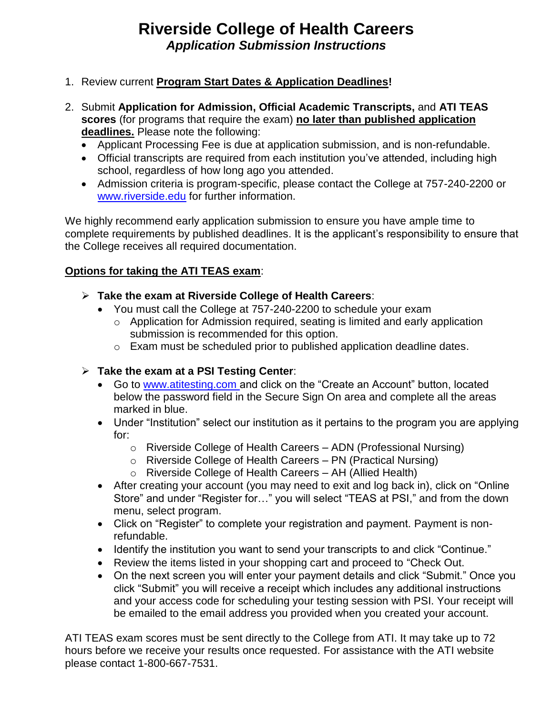## **Riverside College of Health Careers** *Application Submission Instructions*

- 1. Review current **Program Start Dates & Application Deadlines!**
- 2. Submit **Application for Admission, Official Academic Transcripts,** and **ATI TEAS scores** (for programs that require the exam) **no later than published application deadlines.** Please note the following:
	- Applicant Processing Fee is due at application submission, and is non-refundable.
	- Official transcripts are required from each institution you've attended, including high school, regardless of how long ago you attended.
	- Admission criteria is program-specific, please contact the College at 757-240-2200 or [www.riverside.edu](http://www.riverside.edu/) for further information.

We highly recommend early application submission to ensure you have ample time to complete requirements by published deadlines. It is the applicant's responsibility to ensure that the College receives all required documentation.

## **Options for taking the ATI TEAS exam**:

- **Take the exam at Riverside College of Health Careers**:
	- You must call the College at 757-240-2200 to schedule your exam
		- o Application for Admission required, seating is limited and early application submission is recommended for this option.
		- o Exam must be scheduled prior to published application deadline dates.

## **Take the exam at a PSI Testing Center**:

- Go to www.atitesting.com and click on the "Create an Account" button, located below the password field in the Secure Sign On area and complete all the areas marked in blue.
- Under "Institution" select our institution as it pertains to the program you are applying for:
	- o Riverside College of Health Careers ADN (Professional Nursing)
	- o Riverside College of Health Careers PN (Practical Nursing)
	- o Riverside College of Health Careers AH (Allied Health)
- After creating your account (you may need to exit and log back in), click on "Online Store" and under "Register for…" you will select "TEAS at PSI," and from the down menu, select program.
- Click on "Register" to complete your registration and payment. Payment is nonrefundable.
- Identify the institution you want to send your transcripts to and click "Continue."
- Review the items listed in your shopping cart and proceed to "Check Out.
- On the next screen you will enter your payment details and click "Submit." Once you click "Submit" you will receive a receipt which includes any additional instructions and your access code for scheduling your testing session with PSI. Your receipt will be emailed to the email address you provided when you created your account.

ATI TEAS exam scores must be sent directly to the College from ATI. It may take up to 72 hours before we receive your results once requested. For assistance with the ATI website please contact 1-800-667-7531.